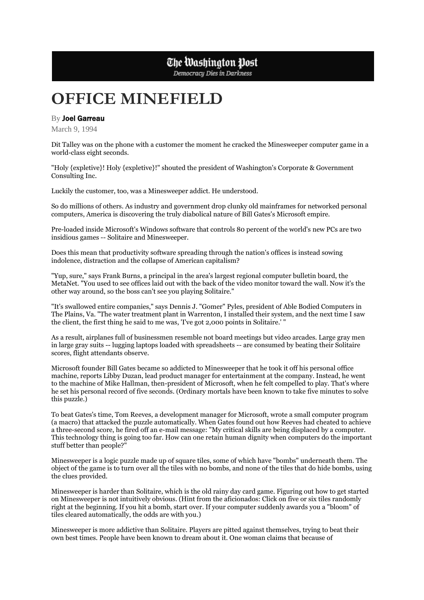## The Washington Post

Democracy Dies in Darkness

## **OFFICE MINEFIELD**

## By Joel Garreau

March 9, 1994

Dit Talley was on the phone with a customer the moment he cracked the Minesweeper computer game in a world-class eight seconds.

"Holy {expletive}! Holy {expletive}!" shouted the president of Washington's Corporate & Government Consulting Inc.

Luckily the customer, too, was a Minesweeper addict. He understood.

So do millions of others. As industry and government drop clunky old mainframes for networked personal computers, America is discovering the truly diabolical nature of Bill Gates's Microsoft empire.

Pre-loaded inside Microsoft's Windows software that controls 80 percent of the world's new PCs are two insidious games -- Solitaire and Minesweeper.

Does this mean that productivity software spreading through the nation's offices is instead sowing indolence, distraction and the collapse of American capitalism?

"Yup, sure," says Frank Burns, a principal in the area's largest regional computer bulletin board, the MetaNet. "You used to see offices laid out with the back of the video monitor toward the wall. Now it's the other way around, so the boss can't see you playing Solitaire."

"It's swallowed entire companies," says Dennis J. "Gomer" Pyles, president of Able Bodied Computers in The Plains, Va. "The water treatment plant in Warrenton, I installed their system, and the next time I saw the client, the first thing he said to me was, 'I've got 2,000 points in Solitaire.' "

As a result, airplanes full of businessmen resemble not board meetings but video arcades. Large gray men in large gray suits -- lugging laptops loaded with spreadsheets -- are consumed by beating their Solitaire scores, flight attendants observe.

Microsoft founder Bill Gates became so addicted to Minesweeper that he took it off his personal office machine, reports Libby Duzan, lead product manager for entertainment at the company. Instead, he went to the machine of Mike Hallman, then-president of Microsoft, when he felt compelled to play. That's where he set his personal record of five seconds. (Ordinary mortals have been known to take five minutes to solve this puzzle.)

To beat Gates's time, Tom Reeves, a development manager for Microsoft, wrote a small computer program (a macro) that attacked the puzzle automatically. When Gates found out how Reeves had cheated to achieve a three-second score, he fired off an e-mail message: "My critical skills are being displaced by a computer. This technology thing is going too far. How can one retain human dignity when computers do the important stuff better than people?"

Minesweeper is a logic puzzle made up of square tiles, some of which have "bombs" underneath them. The object of the game is to turn over all the tiles with no bombs, and none of the tiles that do hide bombs, using the clues provided.

Minesweeper is harder than Solitaire, which is the old rainy day card game. Figuring out how to get started on Minesweeper is not intuitively obvious. (Hint from the aficionados: Click on five or six tiles randomly right at the beginning. If you hit a bomb, start over. If your computer suddenly awards you a "bloom" of tiles cleared automatically, the odds are with you.)

Minesweeper is more addictive than Solitaire. Players are pitted against themselves, trying to beat their own best times. People have been known to dream about it. One woman claims that because of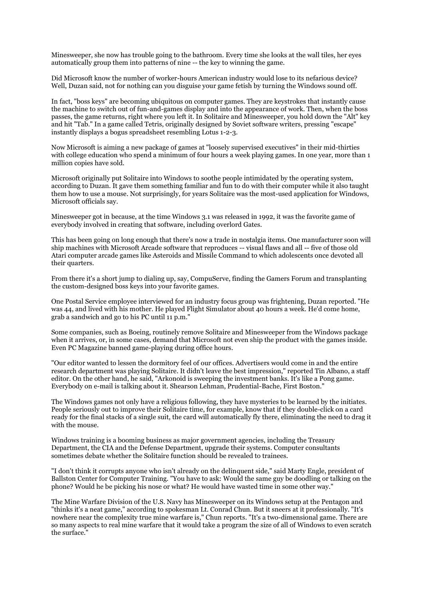Minesweeper, she now has trouble going to the bathroom. Every time she looks at the wall tiles, her eyes automatically group them into patterns of nine -- the key to winning the game.

Did Microsoft know the number of worker-hours American industry would lose to its nefarious device? Well, Duzan said, not for nothing can you disguise your game fetish by turning the Windows sound off.

In fact, "boss keys" are becoming ubiquitous on computer games. They are keystrokes that instantly cause the machine to switch out of fun-and-games display and into the appearance of work. Then, when the boss passes, the game returns, right where you left it. In Solitaire and Minesweeper, you hold down the "Alt" key and hit "Tab." In a game called Tetris, originally designed by Soviet software writers, pressing "escape" instantly displays a bogus spreadsheet resembling Lotus 1-2-3.

Now Microsoft is aiming a new package of games at "loosely supervised executives" in their mid-thirties with college education who spend a minimum of four hours a week playing games. In one year, more than 1 million copies have sold.

Microsoft originally put Solitaire into Windows to soothe people intimidated by the operating system, according to Duzan. It gave them something familiar and fun to do with their computer while it also taught them how to use a mouse. Not surprisingly, for years Solitaire was the most-used application for Windows, Microsoft officials say.

Minesweeper got in because, at the time Windows 3.1 was released in 1992, it was the favorite game of everybody involved in creating that software, including overlord Gates.

This has been going on long enough that there's now a trade in nostalgia items. One manufacturer soon will ship machines with Microsoft Arcade software that reproduces -- visual flaws and all -- five of those old Atari computer arcade games like Asteroids and Missile Command to which adolescents once devoted all their quarters.

From there it's a short jump to dialing up, say, CompuServe, finding the Gamers Forum and transplanting the custom-designed boss keys into your favorite games.

One Postal Service employee interviewed for an industry focus group was frightening, Duzan reported. "He was 44, and lived with his mother. He played Flight Simulator about 40 hours a week. He'd come home, grab a sandwich and go to his PC until 11 p.m."

Some companies, such as Boeing, routinely remove Solitaire and Minesweeper from the Windows package when it arrives, or, in some cases, demand that Microsoft not even ship the product with the games inside. Even PC Magazine banned game-playing during office hours.

"Our editor wanted to lessen the dormitory feel of our offices. Advertisers would come in and the entire research department was playing Solitaire. It didn't leave the best impression," reported Tin Albano, a staff editor. On the other hand, he said, "Arkonoid is sweeping the investment banks. It's like a Pong game. Everybody on e-mail is talking about it. Shearson Lehman, Prudential-Bache, First Boston."

The Windows games not only have a religious following, they have mysteries to be learned by the initiates. People seriously out to improve their Solitaire time, for example, know that if they double-click on a card ready for the final stacks of a single suit, the card will automatically fly there, eliminating the need to drag it with the mouse.

Windows training is a booming business as major government agencies, including the Treasury Department, the CIA and the Defense Department, upgrade their systems. Computer consultants sometimes debate whether the Solitaire function should be revealed to trainees.

"I don't think it corrupts anyone who isn't already on the delinquent side," said Marty Engle, president of Ballston Center for Computer Training. "You have to ask: Would the same guy be doodling or talking on the phone? Would he be picking his nose or what? He would have wasted time in some other way."

The Mine Warfare Division of the U.S. Navy has Minesweeper on its Windows setup at the Pentagon and "thinks it's a neat game," according to spokesman Lt. Conrad Chun. But it sneers at it professionally. "It's nowhere near the complexity true mine warfare is," Chun reports. "It's a two-dimensional game. There are so many aspects to real mine warfare that it would take a program the size of all of Windows to even scratch the surface."